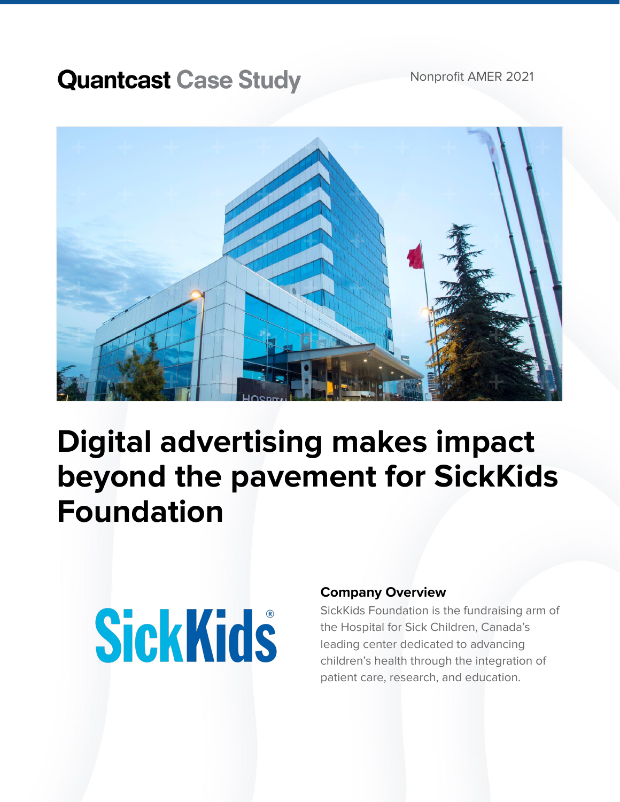### **Quantcast Case Study**

Nonprofit AMER 2021



## **Digital advertising makes impact beyond the pavement for SickKids Foundation**

# **SickKids**

#### **Company Overview**

SickKids Foundation is the fundraising arm of the Hospital for Sick Children, Canada's leading center dedicated to advancing children's health through the integration of patient care, research, and education.